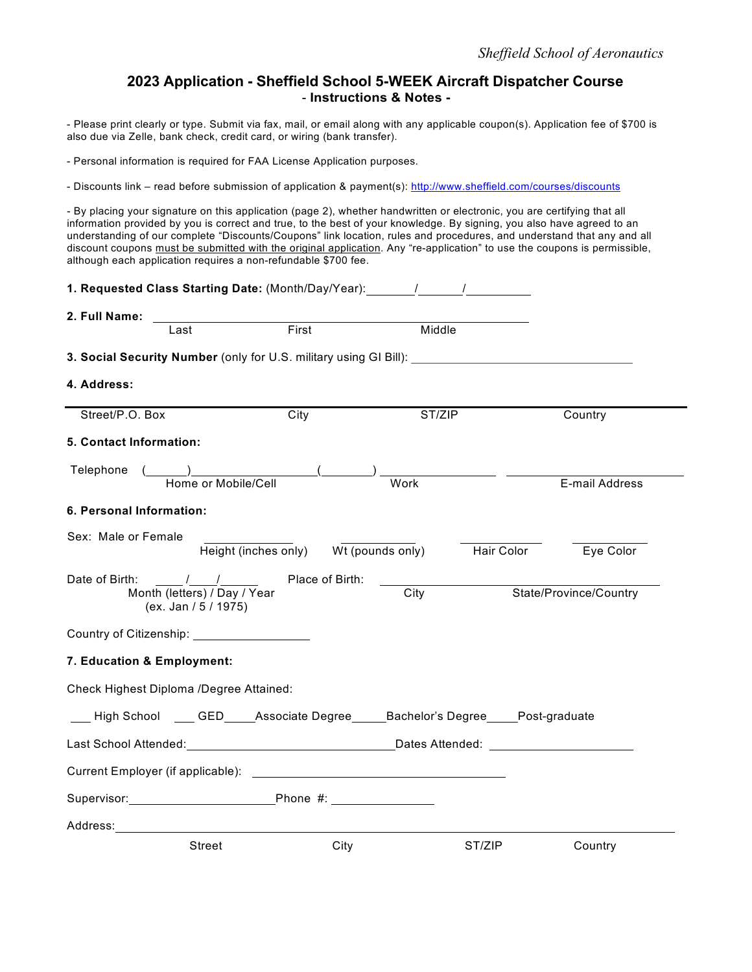## **2023 Application - Sheffield School 5-WEEK Aircraft Dispatcher Course** - **Instructions & Notes -**

- Please print clearly or type. Submit via fax, mail, or email along with any applicable coupon(s). Application fee of \$700 is also due via Zelle, bank check, credit card, or wiring (bank transfer).

- Personal information is required for FAA License Application purposes.

- Discounts link – read before submission of application & payment(s): http://www.sheffield.com/courses/discounts

- By placing your signature on this application (page 2), whether handwritten or electronic, you are certifying that all information provided by you is correct and true, to the best of your knowledge. By signing, you also have agreed to an understanding of our complete "Discounts/Coupons" link location, rules and procedures, and understand that any and all discount coupons must be submitted with the original application. Any "re-application" to use the coupons is permissible, although each application requires a non-refundable \$700 fee.

| 1. Requested Class Starting Date: (Month/Day/Year): / / /                                                                                                                                                                      |                                       |        |            |                        |  |
|--------------------------------------------------------------------------------------------------------------------------------------------------------------------------------------------------------------------------------|---------------------------------------|--------|------------|------------------------|--|
| 2. Full Name:                                                                                                                                                                                                                  | First                                 | Middle |            |                        |  |
| Last<br>3. Social Security Number (only for U.S. military using GI Bill):                                                                                                                                                      |                                       |        |            |                        |  |
| 4. Address:                                                                                                                                                                                                                    |                                       |        |            |                        |  |
| Street/P.O. Box                                                                                                                                                                                                                | City                                  | ST/ZIP |            | Country                |  |
| 5. Contact Information:                                                                                                                                                                                                        |                                       |        |            |                        |  |
| Telephone<br>Home or Mobile/Cell                                                                                                                                                                                               | $\overline{a}$                        | Work   |            | E-mail Address         |  |
| 6. Personal Information:                                                                                                                                                                                                       |                                       |        |            |                        |  |
| Sex: Male or Female                                                                                                                                                                                                            | Height (inches only) Wt (pounds only) |        | Hair Color | Eye Color              |  |
| $\frac{1}{\sqrt{2}}$<br>Date of Birth:<br>Month (letters) / Day / Year<br>(ex. Jan / 5 / 1975)                                                                                                                                 | Place of Birth:                       | City   |            | State/Province/Country |  |
|                                                                                                                                                                                                                                |                                       |        |            |                        |  |
| 7. Education & Employment:                                                                                                                                                                                                     |                                       |        |            |                        |  |
| Check Highest Diploma /Degree Attained:                                                                                                                                                                                        |                                       |        |            |                        |  |
| ___ High School ____ GED_____Associate Degree_____Bachelor's Degree_____Post-graduate                                                                                                                                          |                                       |        |            |                        |  |
|                                                                                                                                                                                                                                |                                       |        |            |                        |  |
|                                                                                                                                                                                                                                |                                       |        |            |                        |  |
| Supervisor: Phone #: 2000 Phone #: 2000 Phone #: 2000 Phone #: 2000 Phone #: 2000 Phone #: 2000 Phone #: 2000                                                                                                                  |                                       |        |            |                        |  |
| Address: Andreas and the set of the set of the set of the set of the set of the set of the set of the set of the set of the set of the set of the set of the set of the set of the set of the set of the set of the set of the |                                       |        |            |                        |  |
| <b>Street</b>                                                                                                                                                                                                                  | City                                  |        | ST/ZIP     | Country                |  |